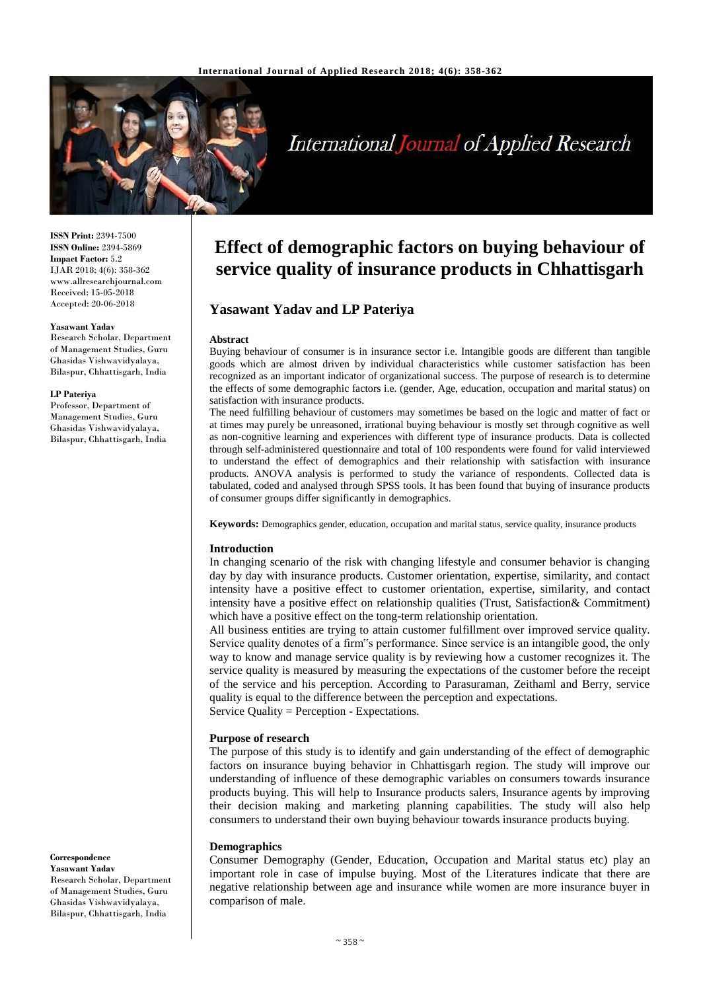

# **International Journal of Applied Research**

**ISSN Print:** 2394-7500 **ISSN Online:** 2394-5869 **Impact Factor:** 5.2 IJAR 2018; 4(6): 358-362 www.allresearchjournal.com Received: 15-05-2018 Accepted: 20-06-2018

#### **Yasawant Yadav**

Research Scholar, Department of Management Studies, Guru Ghasidas Vishwavidyalaya, Bilaspur, Chhattisgarh, India

#### **LP Pateriya**

Professor, Department of Management Studies, Guru Ghasidas Vishwavidyalaya, Bilaspur, Chhattisgarh, India

# **Effect of demographic factors on buying behaviour of service quality of insurance products in Chhattisgarh**

# **Yasawant Yadav and LP Pateriya**

#### **Abstract**

Buying behaviour of consumer is in insurance sector i.e. Intangible goods are different than tangible goods which are almost driven by individual characteristics while customer satisfaction has been recognized as an important indicator of organizational success. The purpose of research is to determine the effects of some demographic factors i.e. (gender, Age, education, occupation and marital status) on satisfaction with insurance products.

The need fulfilling behaviour of customers may sometimes be based on the logic and matter of fact or at times may purely be unreasoned, irrational buying behaviour is mostly set through cognitive as well as non-cognitive learning and experiences with different type of insurance products. Data is collected through self-administered questionnaire and total of 100 respondents were found for valid interviewed to understand the effect of demographics and their relationship with satisfaction with insurance products. ANOVA analysis is performed to study the variance of respondents. Collected data is tabulated, coded and analysed through SPSS tools. It has been found that buying of insurance products of consumer groups differ significantly in demographics.

**Keywords:** Demographics gender, education, occupation and marital status, service quality, insurance products

#### **Introduction**

In changing scenario of the risk with changing lifestyle and consumer behavior is changing day by day with insurance products. Customer orientation, expertise, similarity, and contact intensity have a positive effect to customer orientation, expertise, similarity, and contact intensity have a positive effect on relationship qualities (Trust, Satisfaction& Commitment) which have a positive effect on the tong-term relationship orientation.

All business entities are trying to attain customer fulfillment over improved service quality. Service quality denotes of a firm"s performance. Since service is an intangible good, the only way to know and manage service quality is by reviewing how a customer recognizes it. The service quality is measured by measuring the expectations of the customer before the receipt of the service and his perception. According to Parasuraman, Zeithaml and Berry, service quality is equal to the difference between the perception and expectations. Service Quality = Perception - Expectations.

#### **Purpose of research**

The purpose of this study is to identify and gain understanding of the effect of demographic factors on insurance buying behavior in Chhattisgarh region. The study will improve our understanding of influence of these demographic variables on consumers towards insurance products buying. This will help to Insurance products salers, Insurance agents by improving their decision making and marketing planning capabilities. The study will also help consumers to understand their own buying behaviour towards insurance products buying.

#### **Demographics**

Consumer Demography (Gender, Education, Occupation and Marital status etc) play an important role in case of impulse buying. Most of the Literatures indicate that there are negative relationship between age and insurance while women are more insurance buyer in comparison of male.

#### **Correspondence Yasawant Yadav** Research Scholar, Department of Management Studies, Guru Ghasidas Vishwavidyalaya, Bilaspur, Chhattisgarh, India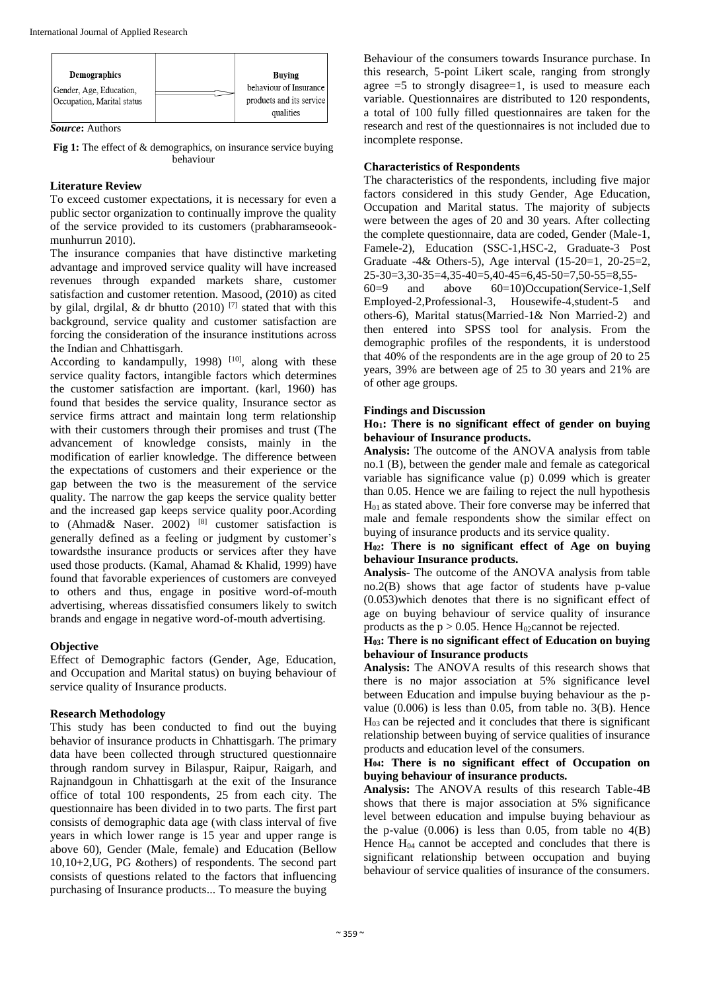| Demographics               | Buving                   |
|----------------------------|--------------------------|
| Gender, Age, Education,    | behaviour of Insurance   |
| Occupation, Marital status | products and its service |
|                            | qualities                |

*Source***:** Authors

**Fig 1:** The effect of & demographics, on insurance service buying behaviour

# **Literature Review**

To exceed customer expectations, it is necessary for even a public sector organization to continually improve the quality of the service provided to its customers (prabharamseookmunhurrun 2010).

The insurance companies that have distinctive marketing advantage and improved service quality will have increased revenues through expanded markets share, customer satisfaction and customer retention. Masood, (2010) as cited by gilal, drgilal, & dr bhutto (2010)  $[7]$  stated that with this background, service quality and customer satisfaction are forcing the consideration of the insurance institutions across the Indian and Chhattisgarh.

According to kandampully, 1998)  $[10]$ , along with these service quality factors, intangible factors which determines the customer satisfaction are important. (karl, 1960) has found that besides the service quality, Insurance sector as service firms attract and maintain long term relationship with their customers through their promises and trust (The advancement of knowledge consists, mainly in the modification of earlier knowledge. The difference between the expectations of customers and their experience or the gap between the two is the measurement of the service quality. The narrow the gap keeps the service quality better and the increased gap keeps service quality poor.Acording to (Ahmad& Naser. 2002) [8] customer satisfaction is generally defined as a feeling or judgment by customer's towardsthe insurance products or services after they have used those products. (Kamal, Ahamad & Khalid, 1999) have found that favorable experiences of customers are conveyed to others and thus, engage in positive word-of-mouth advertising, whereas dissatisfied consumers likely to switch brands and engage in negative word-of-mouth advertising.

# **Objective**

Effect of Demographic factors (Gender, Age, Education, and Occupation and Marital status) on buying behaviour of service quality of Insurance products.

# **Research Methodology**

This study has been conducted to find out the buying behavior of insurance products in Chhattisgarh. The primary data have been collected through structured questionnaire through random survey in Bilaspur, Raipur, Raigarh, and Rajnandgoun in Chhattisgarh at the exit of the Insurance office of total 100 respondents, 25 from each city. The questionnaire has been divided in to two parts. The first part consists of demographic data age (with class interval of five years in which lower range is 15 year and upper range is above 60), Gender (Male, female) and Education (Bellow 10,10+2,UG, PG &others) of respondents. The second part consists of questions related to the factors that influencing purchasing of Insurance products... To measure the buying

Behaviour of the consumers towards Insurance purchase. In this research, 5-point Likert scale, ranging from strongly agree  $=5$  to strongly disagree $=1$ , is used to measure each variable. Questionnaires are distributed to 120 respondents, a total of 100 fully filled questionnaires are taken for the research and rest of the questionnaires is not included due to incomplete response.

# **Characteristics of Respondents**

The characteristics of the respondents, including five major factors considered in this study Gender, Age Education, Occupation and Marital status. The majority of subjects were between the ages of 20 and 30 years. After collecting the complete questionnaire, data are coded, Gender (Male-1, Famele-2), Education (SSC-1,HSC-2, Graduate-3 Post Graduate -4& Others-5), Age interval (15-20=1, 20-25=2, 25-30=3,30-35=4,35-40=5,40-45=6,45-50=7,50-55=8,55-

60=9 and above 60=10)Occupation(Service-1,Self Employed-2,Professional-3, Housewife-4,student-5 and others-6), Marital status(Married-1& Non Married-2) and then entered into SPSS tool for analysis. From the demographic profiles of the respondents, it is understood that 40% of the respondents are in the age group of 20 to 25 years, 39% are between age of 25 to 30 years and 21% are of other age groups.

# **Findings and Discussion**

## **Ho1: There is no significant effect of gender on buying behaviour of Insurance products.**

**Analysis:** The outcome of the ANOVA analysis from table no.1 (B), between the gender male and female as categorical variable has significance value (p) 0.099 which is greater than 0.05. Hence we are failing to reject the null hypothesis H01 as stated above. Their fore converse may be inferred that male and female respondents show the similar effect on buying of insurance products and its service quality.

# **H02: There is no significant effect of Age on buying behaviour Insurance products.**

**Analysis-** The outcome of the ANOVA analysis from table no.2(B) shows that age factor of students have p-value (0.053)which denotes that there is no significant effect of age on buying behaviour of service quality of insurance products as the  $p > 0.05$ . Hence H<sub>02</sub>cannot be rejected.

#### **H03: There is no significant effect of Education on buying behaviour of Insurance products**

**Analysis:** The ANOVA results of this research shows that there is no major association at 5% significance level between Education and impulse buying behaviour as the pvalue  $(0.006)$  is less than 0.05, from table no. 3(B). Hence  $H<sub>03</sub>$  can be rejected and it concludes that there is significant relationship between buying of service qualities of insurance products and education level of the consumers.

# **H04: There is no significant effect of Occupation on buying behaviour of insurance products.**

**Analysis:** The ANOVA results of this research Table-4B shows that there is major association at 5% significance level between education and impulse buying behaviour as the p-value  $(0.006)$  is less than 0.05, from table no  $4(B)$ Hence  $H_{04}$  cannot be accepted and concludes that there is significant relationship between occupation and buying behaviour of service qualities of insurance of the consumers.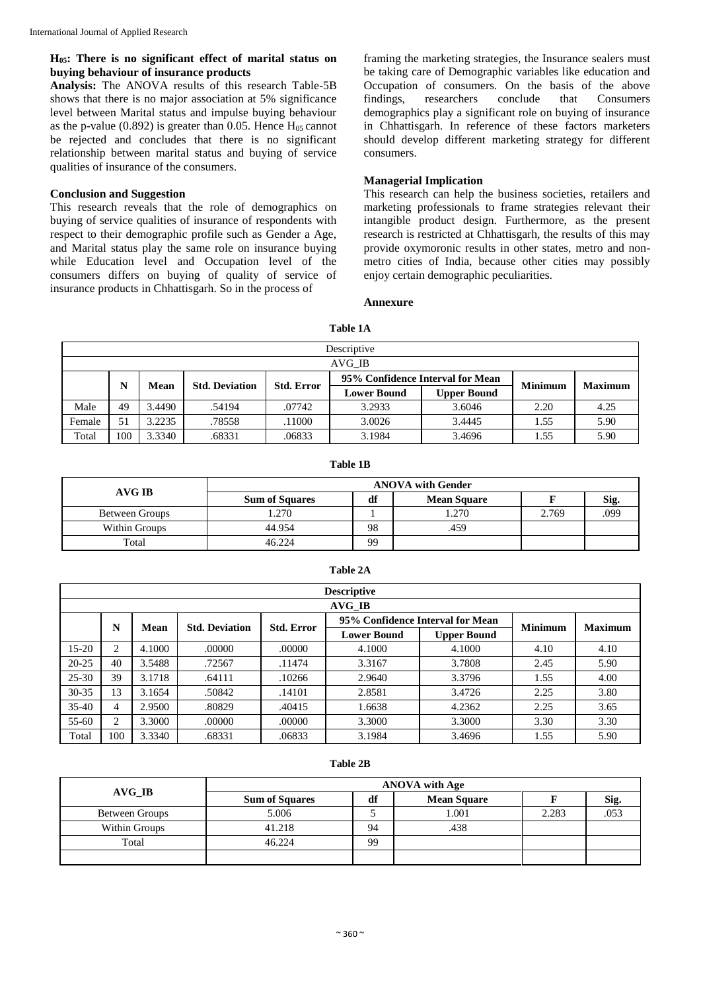# **H05: There is no significant effect of marital status on buying behaviour of insurance products**

**Analysis:** The ANOVA results of this research Table-5B shows that there is no major association at 5% significance level between Marital status and impulse buying behaviour as the p-value (0.892) is greater than 0.05. Hence  $H<sub>05</sub>$  cannot be rejected and concludes that there is no significant relationship between marital status and buying of service qualities of insurance of the consumers.

#### **Conclusion and Suggestion**

This research reveals that the role of demographics on buying of service qualities of insurance of respondents with respect to their demographic profile such as Gender a Age, and Marital status play the same role on insurance buying while Education level and Occupation level of the consumers differs on buying of quality of service of insurance products in Chhattisgarh. So in the process of

framing the marketing strategies, the Insurance sealers must be taking care of Demographic variables like education and Occupation of consumers. On the basis of the above findings, researchers conclude that Consumers demographics play a significant role on buying of insurance in Chhattisgarh. In reference of these factors marketers should develop different marketing strategy for different consumers.

#### **Managerial Implication**

This research can help the business societies, retailers and marketing professionals to frame strategies relevant their intangible product design. Furthermore, as the present research is restricted at Chhattisgarh, the results of this may provide oxymoronic results in other states, metro and nonmetro cities of India, because other cities may possibly enjoy certain demographic peculiarities.

#### **Annexure**

|        | Descriptive |        |        |        |                       |                    |                                  |      |                |                |  |
|--------|-------------|--------|--------|--------|-----------------------|--------------------|----------------------------------|------|----------------|----------------|--|
|        | AVG IB      |        |        |        |                       |                    |                                  |      |                |                |  |
|        | N           | Mean   |        |        | <b>Std. Deviation</b> | <b>Std. Error</b>  | 95% Confidence Interval for Mean |      | <b>Minimum</b> | <b>Maximum</b> |  |
|        |             |        |        |        | <b>Lower Bound</b>    | <b>Upper Bound</b> |                                  |      |                |                |  |
| Male   | 49          | 3.4490 | .54194 | .07742 | 3.2933                | 3.6046             | 2.20                             | 4.25 |                |                |  |
| Female | 51          | 3.2235 | .78558 | .11000 | 3.0026                | 3.4445             | 1.55                             | 5.90 |                |                |  |
| Total  | 100         | 3.3340 | .68331 | .06833 | 3.1984                | 3.4696             | 1.55                             | 5.90 |                |                |  |

**Table 1A**

#### **Table 1B**

|                       | <b>ANOVA</b> with Gender |    |                    |       |      |  |  |
|-----------------------|--------------------------|----|--------------------|-------|------|--|--|
| AVG IB                | <b>Sum of Squares</b>    | df | <b>Mean Square</b> |       | Sig. |  |  |
| <b>Between Groups</b> | .270                     |    | .270               | 2.769 | 099  |  |  |
| Within Groups         | 44.954                   | 98 | 459.               |       |      |  |  |
| Total                 | 46.224                   | 99 |                    |       |      |  |  |

|           | <b>Descriptive</b> |        |                       |                   |                                  |                    |                |                |  |  |  |
|-----------|--------------------|--------|-----------------------|-------------------|----------------------------------|--------------------|----------------|----------------|--|--|--|
| AVG IB    |                    |        |                       |                   |                                  |                    |                |                |  |  |  |
|           | N                  | Mean   | <b>Std. Deviation</b> | <b>Std. Error</b> | 95% Confidence Interval for Mean |                    | <b>Minimum</b> | <b>Maximum</b> |  |  |  |
|           |                    |        |                       |                   | <b>Lower Bound</b>               | <b>Upper Bound</b> |                |                |  |  |  |
| $15 - 20$ | 2                  | 4.1000 | .00000                | .00000            | 4.1000                           | 4.1000             | 4.10           | 4.10           |  |  |  |
| $20 - 25$ | 40                 | 3.5488 | .72567                | .11474            | 3.3167                           | 3.7808             | 2.45           | 5.90           |  |  |  |
| $25 - 30$ | 39                 | 3.1718 | .64111                | .10266            | 2.9640                           | 3.3796             | 1.55           | 4.00           |  |  |  |
| $30 - 35$ | 13                 | 3.1654 | .50842                | .14101            | 2.8581                           | 3.4726             | 2.25           | 3.80           |  |  |  |
| $35-40$   | 4                  | 2.9500 | .80829                | .40415            | 1.6638                           | 4.2362             | 2.25           | 3.65           |  |  |  |
| $55 - 60$ | 2                  | 3.3000 | .00000                | .00000            | 3.3000                           | 3.3000             | 3.30           | 3.30           |  |  |  |
| Total     | 100                | 3.3340 | .68331                | .06833            | 3.1984                           | 3.4696             | 1.55           | 5.90           |  |  |  |

# **Table 2A**

#### **Table 2B**

| AVG IB         | <b>ANOVA</b> with Age |    |                    |       |      |  |  |  |
|----------------|-----------------------|----|--------------------|-------|------|--|--|--|
|                | <b>Sum of Squares</b> | df | <b>Mean Square</b> |       | Sig. |  |  |  |
| Between Groups | 5.006                 |    | 1.001              | 2.283 |      |  |  |  |
| Within Groups  | 41.218                | 94 | .438               |       |      |  |  |  |
| Total          | 46.224                | 99 |                    |       |      |  |  |  |
|                |                       |    |                    |       |      |  |  |  |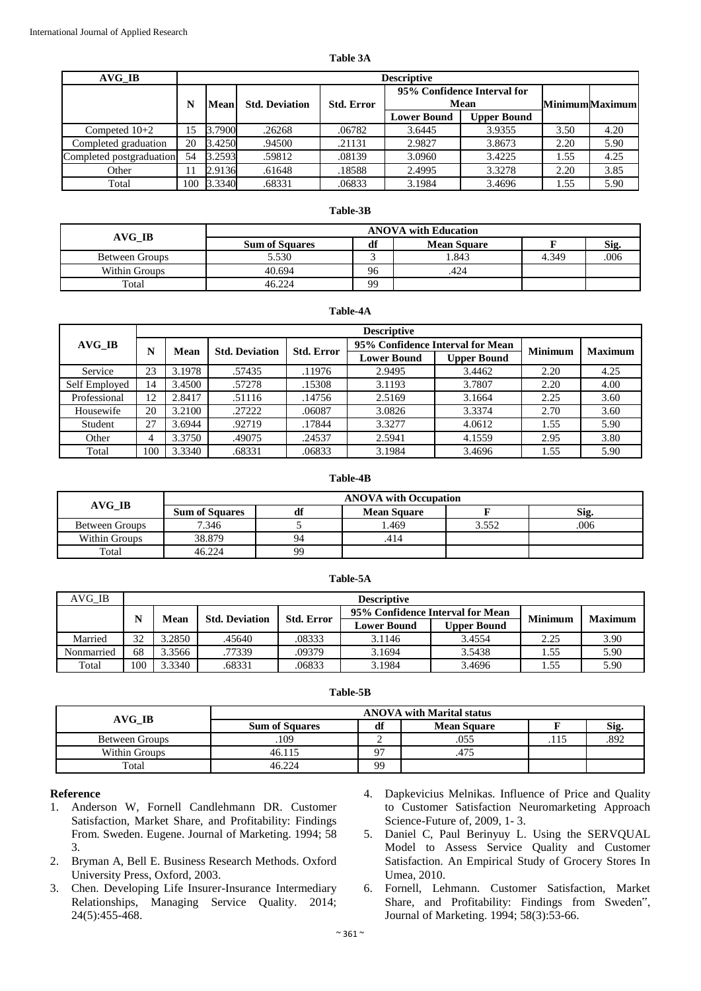| AVG IB                   |     | <b>Descriptive</b>                                                                        |        |        |                    |                       |        |      |  |  |  |  |
|--------------------------|-----|-------------------------------------------------------------------------------------------|--------|--------|--------------------|-----------------------|--------|------|--|--|--|--|
|                          | N   | 95% Confidence Interval for<br>Mean<br><b>Std. Deviation</b><br><b>Std. Error</b><br>Mean |        |        |                    | <b>MinimumMaximum</b> |        |      |  |  |  |  |
|                          |     |                                                                                           |        |        | <b>Lower Bound</b> | <b>Upper Bound</b>    |        |      |  |  |  |  |
| Competed $10+2$          | 15  | 3.7900                                                                                    | .26268 | .06782 | 3.6445             | 3.9355                | 3.50   | 4.20 |  |  |  |  |
| Completed graduation     | 20  | 3.4250                                                                                    | .94500 | .21131 | 2.9827             | 3.8673                | 2.20   | 5.90 |  |  |  |  |
| Completed postgraduation | 54  | 3.2593                                                                                    | .59812 | .08139 | 3.0960             | 3.4225                | 1.55   | 4.25 |  |  |  |  |
| Other                    | 11  | 2.9136                                                                                    | .61648 | .18588 | 2.4995             | 3.3278                | 2.20   | 3.85 |  |  |  |  |
| Total                    | 100 | 3.3340                                                                                    | .68331 | .06833 | 3.1984             | 3.4696                | . . 55 | 5.90 |  |  |  |  |

### **Table-3B**

|                       | <b>ANOVA with Education</b> |    |                    |       |     |  |  |  |
|-----------------------|-----------------------------|----|--------------------|-------|-----|--|--|--|
| AVG IB                | <b>Sum of Squares</b>       | df | <b>Mean Square</b> |       | Sig |  |  |  |
| <b>Between Groups</b> | 5.530                       |    | 1.843              | 4.349 | 006 |  |  |  |
| Within Groups         | 40.694                      | 96 | .424               |       |     |  |  |  |
| Total                 | 46.224                      | 99 |                    |       |     |  |  |  |

#### **Table-4A**

|                     |     | <b>Descriptive</b> |                       |                   |                                  |                    |                |                |  |  |  |
|---------------------|-----|--------------------|-----------------------|-------------------|----------------------------------|--------------------|----------------|----------------|--|--|--|
| $AVG$ <sub>IB</sub> |     | Mean               | <b>Std. Deviation</b> | <b>Std. Error</b> | 95% Confidence Interval for Mean |                    | <b>Minimum</b> | <b>Maximum</b> |  |  |  |
|                     |     |                    |                       |                   | <b>Lower Bound</b>               | <b>Upper Bound</b> |                |                |  |  |  |
| Service             | 23  | 3.1978             | .57435                | .11976            | 2.9495                           | 3.4462             | 2.20           | 4.25           |  |  |  |
| Self Employed       | 14  | 3.4500             | .57278                | .15308            | 3.1193                           | 3.7807             | 2.20           | 4.00           |  |  |  |
| Professional        | 12  | 2.8417             | .51116                | .14756            | 2.5169                           | 3.1664             | 2.25           | 3.60           |  |  |  |
| Housewife           | 20  | 3.2100             | .27222                | .06087            | 3.0826                           | 3.3374             | 2.70           | 3.60           |  |  |  |
| Student             | 27  | 3.6944             | .92719                | .17844            | 3.3277                           | 4.0612             | 1.55           | 5.90           |  |  |  |
| Other               |     | 3.3750             | .49075                | .24537            | 2.5941                           | 4.1559             | 2.95           | 3.80           |  |  |  |
| Total               | 100 | 3.3340             | .68331                | .06833            | 3.1984                           | 3.4696             | 1.55           | 5.90           |  |  |  |

#### **Table-4B**

|                | <b>ANOVA</b> with Occupation |    |                    |       |      |  |  |
|----------------|------------------------------|----|--------------------|-------|------|--|--|
| AVG IB         | <b>Sum of Squares</b>        |    | <b>Mean Square</b> |       | Sig. |  |  |
| Between Groups | 7.346                        |    | . 469              | 3.552 | 006  |  |  |
| Within Groups  | 38.879                       | 94 |                    |       |      |  |  |
| Total          | 46.224                       | 9q |                    |       |      |  |  |

| able |
|------|
|------|

| AVG IB     |     | <b>Descriptive</b> |                       |                   |                                  |                    |                |                |  |  |  |
|------------|-----|--------------------|-----------------------|-------------------|----------------------------------|--------------------|----------------|----------------|--|--|--|
|            | N   | Mean               | <b>Std. Deviation</b> | <b>Std. Error</b> | 95% Confidence Interval for Mean |                    | <b>Minimum</b> | <b>Maximum</b> |  |  |  |
|            |     |                    |                       |                   | <b>Lower Bound</b>               | <b>Upper Bound</b> |                |                |  |  |  |
| Married    | 32  | 3.2850             | .45640                | .08333            | 3.1146                           | 3.4554             | 2.25           | 3.90           |  |  |  |
| Nonmarried | 68  | 3.3566             | .77339                | .09379            | 3.1694                           | 3.5438             | . . 55         | 5.90           |  |  |  |
| Total      | 100 | 3.3340             | .68331                | .06833            | 3.1984                           | 3.4696             | 1.55           | 5.90           |  |  |  |

#### **Table-5B**

| AVG IB                | <b>ANOVA</b> with Marital status |     |                    |      |      |  |  |
|-----------------------|----------------------------------|-----|--------------------|------|------|--|--|
|                       | <b>Sum of Squares</b>            | л о | <b>Mean Square</b> |      | Sig. |  |  |
| <b>Between Groups</b> | 109                              |     | .055               | .115 | 892  |  |  |
| Within Groups         | 46.115                           | 07  |                    |      |      |  |  |
| Total                 | 46.224                           | 99  |                    |      |      |  |  |

### **Reference**

- 1. Anderson W, Fornell Candlehmann DR. Customer Satisfaction, Market Share, and Profitability: Findings From. Sweden. Eugene. Journal of Marketing. 1994; 58 3.
- 2. Bryman A, Bell E. Business Research Methods. Oxford University Press, Oxford, 2003.
- 3. Chen. Developing Life Insurer-Insurance Intermediary Relationships, Managing Service Quality. 2014; 24(5):455-468.
- 4. Dapkevicius Melnikas. Influence of Price and Quality to Customer Satisfaction Neuromarketing Approach Science-Future of, 2009, 1- 3.
- 5. Daniel C, Paul Berinyuy L. Using the SERVQUAL Model to Assess Service Quality and Customer Satisfaction. An Empirical Study of Grocery Stores In Umea, 2010.
- 6. Fornell, Lehmann. Customer Satisfaction, Market Share, and Profitability: Findings from Sweden", Journal of Marketing. 1994; 58(3):53-66.

# **Table 3A**